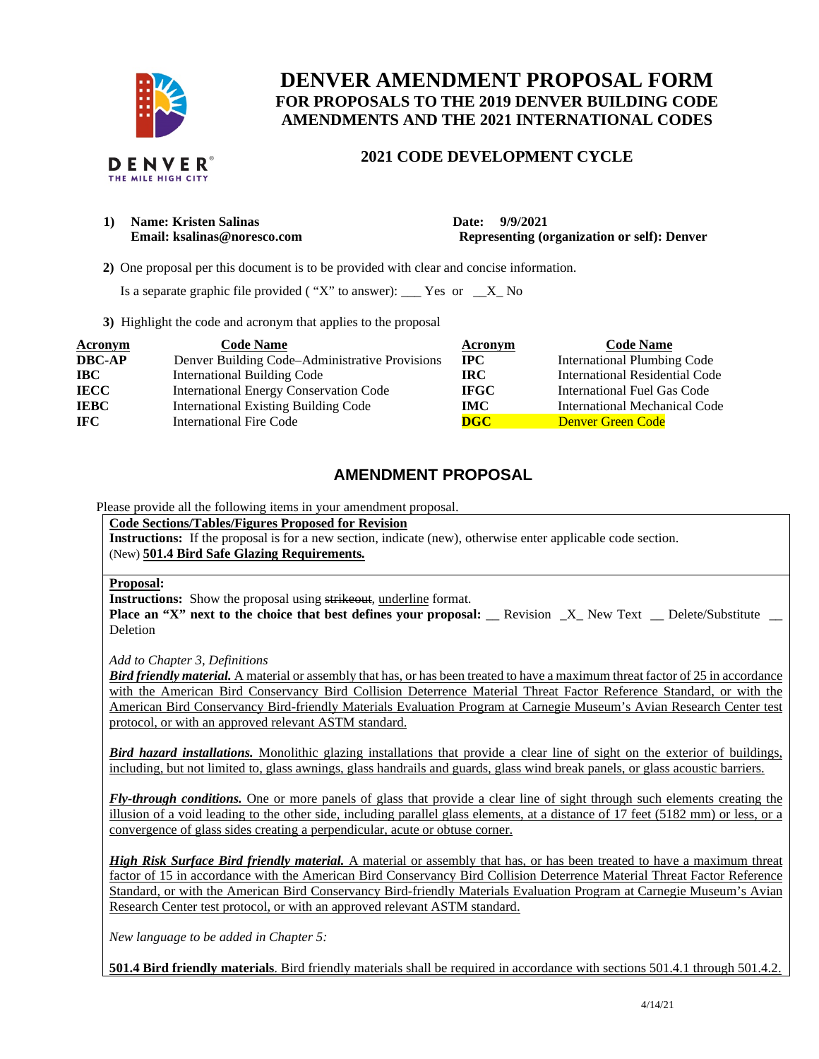

# **DENVER AMENDMENT PROPOSAL FORM FOR PROPOSALS TO THE 2019 DENVER BUILDING CODE AMENDMENTS AND THE 2021 INTERNATIONAL CODES**

### **2021 CODE DEVELOPMENT CYCLE**

1) **Name: Kristen Salinas** Date: 9/9/2021

**Email: ksalinas@noresco.com Representing (organization or self): Denver** 

 **2)** One proposal per this document is to be provided with clear and concise information.

Is a separate graphic file provided ( "X" to answer):  $\_\_\_\$  Yes or  $\_\_\_\$  No

**3)** Highlight the code and acronym that applies to the proposal

| <b>Acronym</b> | <b>Code Name</b>                               | Acronym     | <b>Code Name</b>                   |
|----------------|------------------------------------------------|-------------|------------------------------------|
| <b>DBC-AP</b>  | Denver Building Code–Administrative Provisions | $\bf{IPC}$  | <b>International Plumbing Code</b> |
| <b>IBC</b>     | <b>International Building Code</b>             | IRC.        | International Residential Code     |
| <b>IECC</b>    | <b>International Energy Conservation Code</b>  | <b>IFGC</b> | International Fuel Gas Code        |
| <b>IEBC</b>    | <b>International Existing Building Code</b>    | IMC.        | International Mechanical Code      |
| IFC.           | <b>International Fire Code</b>                 | <b>DGC</b>  | Denver Green Code                  |

## **AMENDMENT PROPOSAL**

Please provide all the following items in your amendment proposal.

**Code Sections/Tables/Figures Proposed for Revision** 

**Instructions:** If the proposal is for a new section, indicate (new), otherwise enter applicable code section. (New) **501.4 Bird Safe Glazing Requirements***.*

### **Proposal:**

**Instructions:** Show the proposal using strikeout, underline format.

**Place an "X" next to the choice that best defines your proposal:** Revision X New Text Delete/Substitute **Deletion** 

*Add to Chapter 3, Definitions* 

*Bird friendly material.* A material or assembly that has, or has been treated to have a maximum threat factor of 25 in accordance with the American Bird Conservancy Bird Collision Deterrence Material Threat Factor Reference Standard, or with the American Bird Conservancy Bird-friendly Materials Evaluation Program at Carnegie Museum's Avian Research Center test protocol, or with an approved relevant ASTM standard.

*Bird hazard installations.* Monolithic glazing installations that provide a clear line of sight on the exterior of buildings, including, but not limited to, glass awnings, glass handrails and guards, glass wind break panels, or glass acoustic barriers.

*Fly-through conditions.* One or more panels of glass that provide a clear line of sight through such elements creating the illusion of a void leading to the other side, including parallel glass elements, at a distance of 17 feet (5182 mm) or less, or a convergence of glass sides creating a perpendicular, acute or obtuse corner.

*High Risk Surface Bird friendly material.* A material or assembly that has, or has been treated to have a maximum threat factor of 15 in accordance with the American Bird Conservancy Bird Collision Deterrence Material Threat Factor Reference Standard, or with the American Bird Conservancy Bird-friendly Materials Evaluation Program at Carnegie Museum's Avian Research Center test protocol, or with an approved relevant ASTM standard.

*New language to be added in Chapter 5:* 

**501.4 Bird friendly materials**. Bird friendly materials shall be required in accordance with sections 501.4.1 through 501.4.2.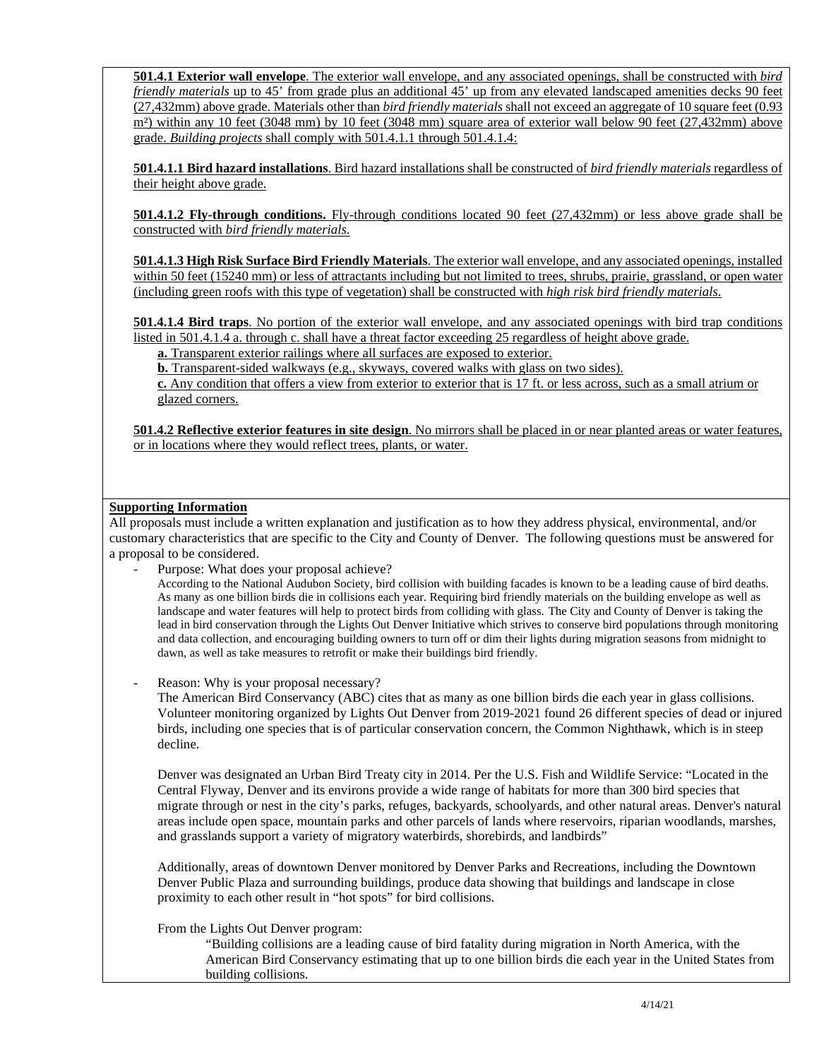**501.4.1 Exterior wall envelope**. The exterior wall envelope, and any associated openings, shall be constructed with *bird friendly materials* up to 45' from grade plus an additional 45' up from any elevated landscaped amenities decks 90 feet (27,432mm) above grade. Materials other than *bird friendly materials* shall not exceed an aggregate of 10 square feet (0.93 m<sup>2</sup>) within any 10 feet (3048 mm) by 10 feet (3048 mm) square area of exterior wall below 90 feet (27,432mm) above grade. *Building projects* shall comply with 501.4.1.1 through 501.4.1.4:

**501.4.1.1 Bird hazard installations**. Bird hazard installations shall be constructed of *bird friendly materials* regardless of their height above grade.

**501.4.1.2 Fly-through conditions.** Fly-through conditions located 90 feet (27,432mm) or less above grade shall be constructed with *bird friendly materials*.

**501.4.1.3 High Risk Surface Bird Friendly Materials**. The exterior wall envelope, and any associated openings, installed within 50 feet (15240 mm) or less of attractants including but not limited to trees, shrubs, prairie, grassland, or open water (including green roofs with this type of vegetation) shall be constructed with *high risk bird friendly materials*.

**501.4.1.4 Bird traps**. No portion of the exterior wall envelope, and any associated openings with bird trap conditions listed in 501.4.1.4 a. through c. shall have a threat factor exceeding 25 regardless of height above grade.

**a.** Transparent exterior railings where all surfaces are exposed to exterior.

**b.** Transparent-sided walkways (e.g., skyways, covered walks with glass on two sides).

**c.** Any condition that offers a view from exterior to exterior that is 17 ft. or less across, such as a small atrium or glazed corners.

**501.4.2 Reflective exterior features in site design**. No mirrors shall be placed in or near planted areas or water features, or in locations where they would reflect trees, plants, or water.

#### **Supporting Information**

All proposals must include a written explanation and justification as to how they address physical, environmental, and/or customary characteristics that are specific to the City and County of Denver. The following questions must be answered for a proposal to be considered.

Purpose: What does your proposal achieve?

According to the National Audubon Society, bird collision with building facades is known to be a leading cause of bird deaths. As many as one billion birds die in collisions each year. Requiring bird friendly materials on the building envelope as well as landscape and water features will help to protect birds from colliding with glass. The City and County of Denver is taking the lead in bird conservation through the Lights Out Denver Initiative which strives to conserve bird populations through monitoring and data collection, and encouraging building owners to turn off or dim their lights during migration seasons from midnight to dawn, as well as take measures to retrofit or make their buildings bird friendly.

Reason: Why is your proposal necessary?

The American Bird Conservancy (ABC) cites that as many as one billion birds die each year in glass collisions. Volunteer monitoring organized by Lights Out Denver from 2019-2021 found 26 different species of dead or injured birds, including one species that is of particular conservation concern, the Common Nighthawk, which is in steep decline.

Denver was designated an Urban Bird Treaty city in 2014. Per the U.S. Fish and Wildlife Service: "Located in the Central Flyway, Denver and its environs provide a wide range of habitats for more than 300 bird species that migrate through or nest in the city's parks, refuges, backyards, schoolyards, and other natural areas. Denver's natural areas include open space, mountain parks and other parcels of lands where reservoirs, riparian woodlands, marshes, and grasslands support a variety of migratory waterbirds, shorebirds, and landbirds"

Additionally, areas of downtown Denver monitored by Denver Parks and Recreations, including the Downtown Denver Public Plaza and surrounding buildings, produce data showing that buildings and landscape in close proximity to each other result in "hot spots" for bird collisions.

From the Lights Out Denver program:

"Building collisions are a leading cause of bird fatality during migration in North America, with the American Bird Conservancy estimating that up to one billion birds die each year in the United States from building collisions.